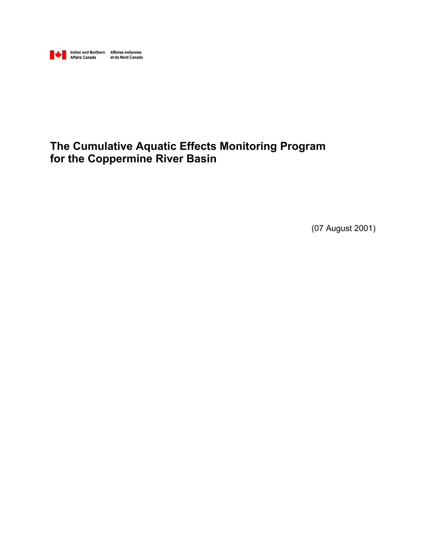

## **The Cumulative Aquatic Effects Monitoring Program for the Coppermine River Basin**

(07 August 2001)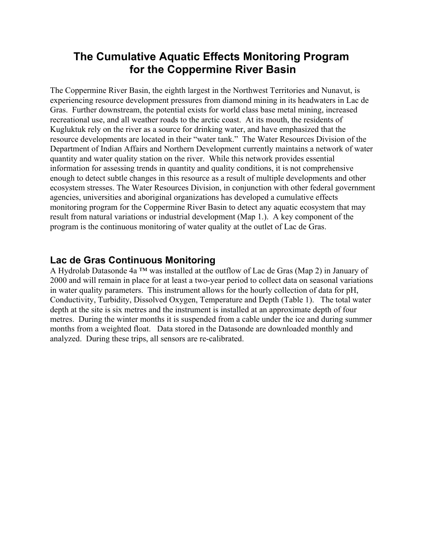### **The Cumulative Aquatic Effects Monitoring Program for the Coppermine River Basin**

The Coppermine River Basin, the eighth largest in the Northwest Territories and Nunavut, is experiencing resource development pressures from diamond mining in its headwaters in Lac de Gras. Further downstream, the potential exists for world class base metal mining, increased recreational use, and all weather roads to the arctic coast. At its mouth, the residents of Kugluktuk rely on the river as a source for drinking water, and have emphasized that the resource developments are located in their "water tank." The Water Resources Division of the Department of Indian Affairs and Northern Development currently maintains a network of water quantity and water quality station on the river. While this network provides essential information for assessing trends in quantity and quality conditions, it is not comprehensive enough to detect subtle changes in this resource as a result of multiple developments and other ecosystem stresses. The Water Resources Division, in conjunction with other federal government agencies, universities and aboriginal organizations has developed a cumulative effects monitoring program for the Coppermine River Basin to detect any aquatic ecosystem that may result from natural variations or industrial development (Map 1.). A key component of the program is the continuous monitoring of water quality at the outlet of Lac de Gras.

### **Lac de Gras Continuous Monitoring**

A Hydrolab Datasonde 4a ™ was installed at the outflow of Lac de Gras (Map 2) in January of 2000 and will remain in place for at least a two-year period to collect data on seasonal variations in water quality parameters. This instrument allows for the hourly collection of data for pH, Conductivity, Turbidity, Dissolved Oxygen, Temperature and Depth (Table 1). The total water depth at the site is six metres and the instrument is installed at an approximate depth of four metres. During the winter months it is suspended from a cable under the ice and during summer months from a weighted float. Data stored in the Datasonde are downloaded monthly and analyzed. During these trips, all sensors are re-calibrated.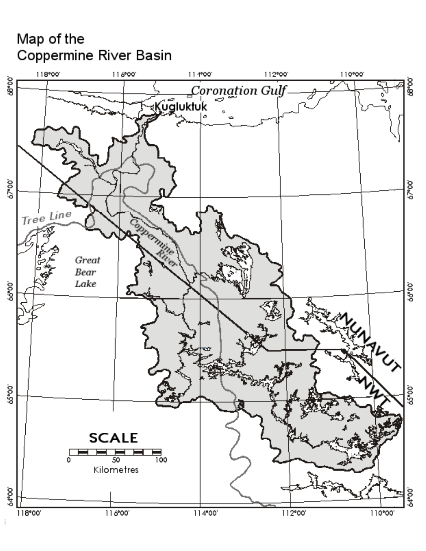# Map of the Coppermine River Basin

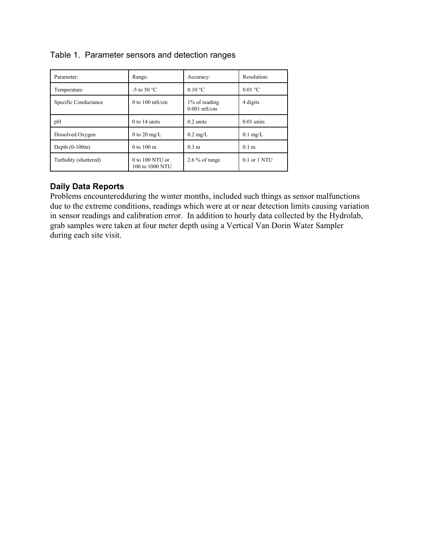| Parameter:            | Range:                             | Accuracy:                      | Resolution:        |
|-----------------------|------------------------------------|--------------------------------|--------------------|
| Temperature           | -5 to 50 $^{\circ}$ C              | $0.10 \degree C$               | $0.01 \text{ °C}$  |
| Specific Conductance  | 0 to $100 \text{ mS/cm}$           | 1% of reading<br>$0.001$ mS/cm | 4 digits           |
| pH                    | $0$ to 14 units                    | $0.2 \text{ units}$            | $0.01$ units       |
| Dissolved Oxygen      | 0 to 20 mg/L                       | $0.2 \text{ mg/L}$             | $0.1 \text{ mg/L}$ |
| Depth $(0-100m)$      | $0$ to $100 \text{ m}$             | 0.3 <sub>m</sub>               | 0.1 <sub>m</sub>   |
| Turbidity (shuttered) | 0 to 100 NTU or<br>100 to 1000 NTU | $2.6\%$ of range               | 0.1 or 1 NTU       |

### Table 1. Parameter sensors and detection ranges

#### **Daily Data Reports**

Problems encounteredduring the winter months, included such things as sensor malfunctions due to the extreme conditions, readings which were at or near detection limits causing variation in sensor readings and calibration error. In addition to hourly data collected by the Hydrolab, grab samples were taken at four meter depth using a Vertical Van Dorin Water Sampler during each site visit.